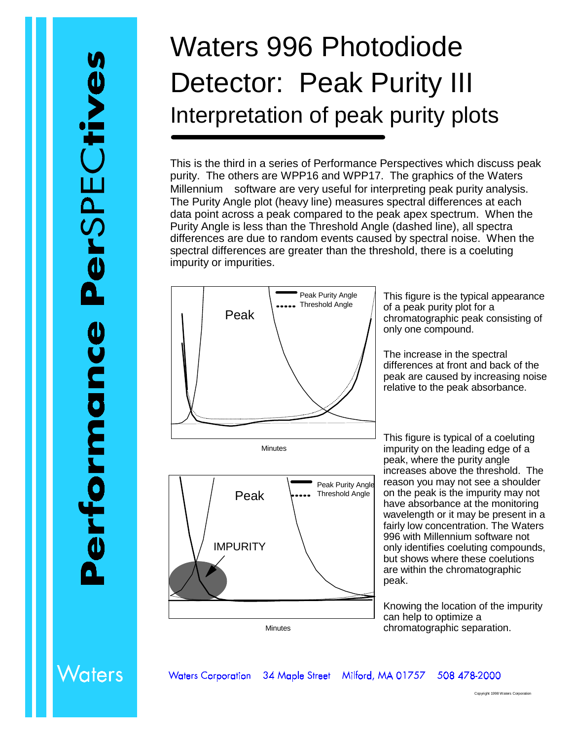## Waters 996 Photodiode Detector: Peak Purity III Interpretation of peak purity plots

This is the third in a series of Performance Perspectives which discuss peak purity. The others are WPP16 and WPP17. The graphics of the Waters Millennium $$\circledR$  software are very useful for interpreting peak purity analysis.$ The Purity Angle plot (heavy line) measures spectral differences at each data point across a peak compared to the peak apex spectrum. When the Purity Angle is less than the Threshold Angle (dashed line), all spectra differences are due to random events caused by spectral noise. When the spectral differences are greater than the threshold, there is a coeluting impurity or impurities.



Minutes



This figure is the typical appearance of a peak purity plot for a chromatographic peak consisting of only one compound.

The increase in the spectral differences at front and back of the peak are caused by increasing noise relative to the peak absorbance.

This figure is typical of a coeluting impurity on the leading edge of a peak, where the purity angle increases above the threshold. The reason you may not see a shoulder on the peak is the impurity may not have absorbance at the monitoring wavelength or it may be present in a fairly low concentration. The Waters 996 with Millennium software not only identifies coeluting compounds, but shows where these coelutions are within the chromatographic peak.

Knowing the location of the impurity can help to optimize a chromatographic separation.

## **Naters**

**Waters Corporation** 34 Maple Street Milford, MA 01757 508 478-2000